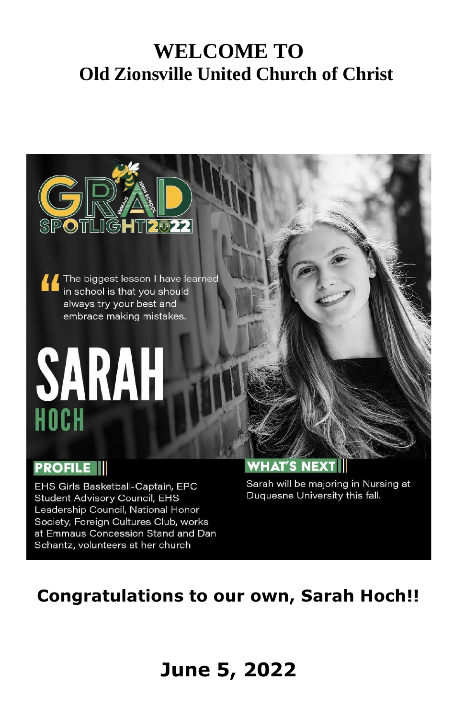## **WELCOME TO Old Zionsville United Church of Christ**



The biggest lesson I have learned in school is that you should always try your best and embrace making mistakes.

# SARAH HOCH

#### **PROFILE**

EHS Girls Basketball-Captain, EPC **Student Advisory Council, EHS** Leadership Council, National Honor Society, Foreign Cultures Club, works at Emmaus Concession Stand and Dan Schantz, volunteers at her church

#### **WHAT'S NEXT**

Sarah will be majoring in Nursing at Duquesne University this fall.

## **Congratulations to our own, Sarah Hoch!!**

## **June 5, 2022**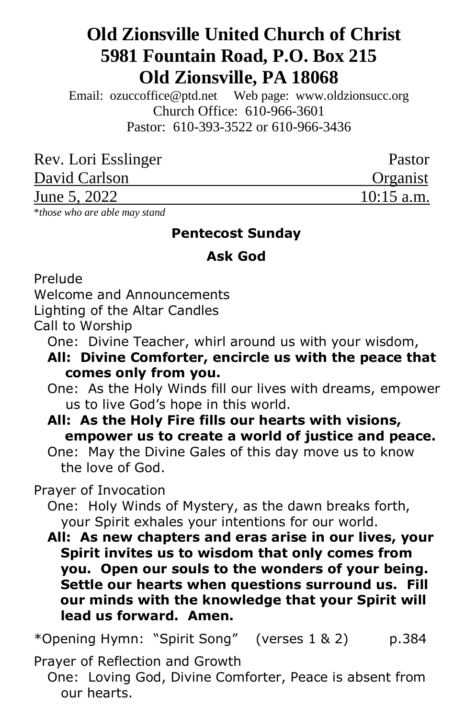### **Old Zionsville United Church of Christ 5981 Fountain Road, P.O. Box 215 Old Zionsville, PA 18068**

Email: [ozuccoffice@ptd.net](mailto:ozuccoffice@ptd.net) Web page: [www.ol](http://www.uccwebsites.net/oldzionsvilleuccpa.html)dzionsucc.org Church Office: 610-966-3601 Pastor: 610-393-3522 or 610-966-3436

| Rev. Lori Esslinger | Pastor       |
|---------------------|--------------|
| David Carlson       | Organist     |
| June 5, 2022        | $10:15$ a.m. |

\**those who are able may stand*

#### **Pentecost Sunday**

#### **Ask God**

Prelude

Welcome and Announcements

Lighting of the Altar Candles

Call to Worship

- One: Divine Teacher, whirl around us with your wisdom,
- **All: Divine Comforter, encircle us with the peace that comes only from you.**
- One: As the Holy Winds fill our lives with dreams, empower us to live God's hope in this world.
- **All: As the Holy Fire fills our hearts with visions, empower us to create a world of justice and peace.**
- One: May the Divine Gales of this day move us to know the love of God.

Prayer of Invocation

 One: Holy Winds of Mystery, as the dawn breaks forth, your Spirit exhales your intentions for our world.

 **All: As new chapters and eras arise in our lives, your Spirit invites us to wisdom that only comes from you. Open our souls to the wonders of your being. Settle our hearts when questions surround us. Fill our minds with the knowledge that your Spirit will lead us forward. Amen.**

\*Opening Hymn: "Spirit Song" (verses 1 & 2) p.384

Prayer of Reflection and Growth

 One: Loving God, Divine Comforter, Peace is absent from our hearts.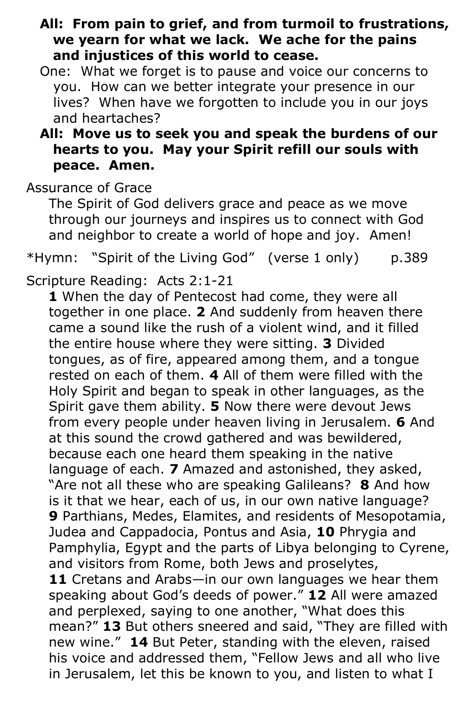- **All: From pain to grief, and from turmoil to frustrations, we yearn for what we lack. We ache for the pains and injustices of this world to cease.**
- One: What we forget is to pause and voice our concerns to you. How can we better integrate your presence in our lives? When have we forgotten to include you in our joys and heartaches?

#### **All: Move us to seek you and speak the burdens of our hearts to you. May your Spirit refill our souls with peace. Amen.**

Assurance of Grace

 The Spirit of God delivers grace and peace as we move through our journeys and inspires us to connect with God and neighbor to create a world of hope and joy. Amen!

\*Hymn: "Spirit of the Living God" (verse 1 only) p.389

Scripture Reading: Acts 2:1-21

 **1** When the day of Pentecost had come, they were all together in one place. **2** And suddenly from heaven there came a sound like the rush of a violent wind, and it filled the entire house where they were sitting. **3** Divided tongues, as of fire, appeared among them, and a tongue rested on each of them. **4** All of them were filled with the Holy Spirit and began to speak in other languages, as the Spirit gave them ability. **5** Now there were devout Jews from every people under heaven living in Jerusalem. **6** And at this sound the crowd gathered and was bewildered, because each one heard them speaking in the native language of each. **7** Amazed and astonished, they asked, "Are not all these who are speaking Galileans? **8** And how is it that we hear, each of us, in our own native language? **9** Parthians, Medes, Elamites, and residents of Mesopotamia, Judea and Cappadocia, Pontus and Asia, **10** Phrygia and Pamphylia, Egypt and the parts of Libya belonging to Cyrene, and visitors from Rome, both Jews and proselytes, **11** Cretans and Arabs—in our own languages we hear them speaking about God's deeds of power." **12** All were amazed and perplexed, saying to one another, "What does this mean?" **13** But others sneered and said, "They are filled with new wine." **14** But Peter, standing with the eleven, raised his voice and addressed them, "Fellow Jews and all who live in Jerusalem, let this be known to you, and listen to what I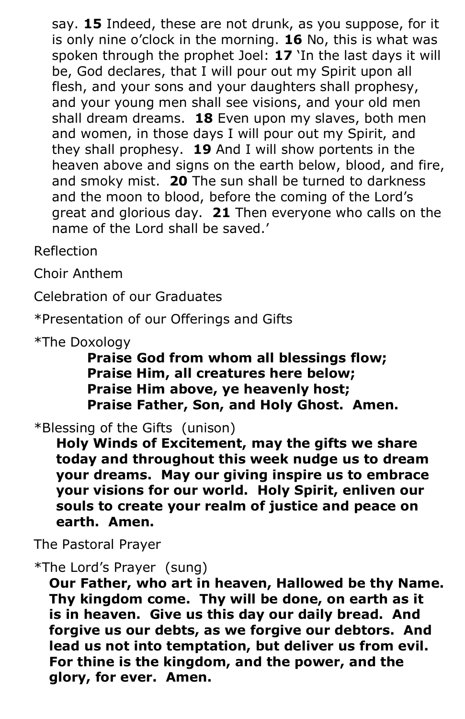say. **15** Indeed, these are not drunk, as you suppose, for it is only nine o'clock in the morning. **16** No, this is what was spoken through the prophet Joel: **17** 'In the last days it will be, God declares, that I will pour out my Spirit upon all flesh, and your sons and your daughters shall prophesy, and your young men shall see visions, and your old men shall dream dreams. **18** Even upon my slaves, both men and women, in those days I will pour out my Spirit, and they shall prophesy. **19** And I will show portents in the heaven above and signs on the earth below, blood, and fire, and smoky mist. **20** The sun shall be turned to darkness and the moon to blood, before the coming of the Lord's great and glorious day. **21** Then everyone who calls on the name of the Lord shall be saved.'

Reflection

Choir Anthem

Celebration of our Graduates

\*Presentation of our Offerings and Gifts

\*The Doxology

 **Praise God from whom all blessings flow; Praise Him, all creatures here below; Praise Him above, ye heavenly host; Praise Father, Son, and Holy Ghost. Amen.**

\*Blessing of the Gifts (unison)

 **Holy Winds of Excitement, may the gifts we share today and throughout this week nudge us to dream your dreams. May our giving inspire us to embrace your visions for our world. Holy Spirit, enliven our souls to create your realm of justice and peace on earth. Amen.**

The Pastoral Prayer

\*The Lord's Prayer (sung)

**Our Father, who art in heaven, Hallowed be thy Name. Thy kingdom come. Thy will be done, on earth as it is in heaven. Give us this day our daily bread. And forgive us our debts, as we forgive our debtors. And lead us not into temptation, but deliver us from evil. For thine is the kingdom, and the power, and the glory, for ever. Amen.**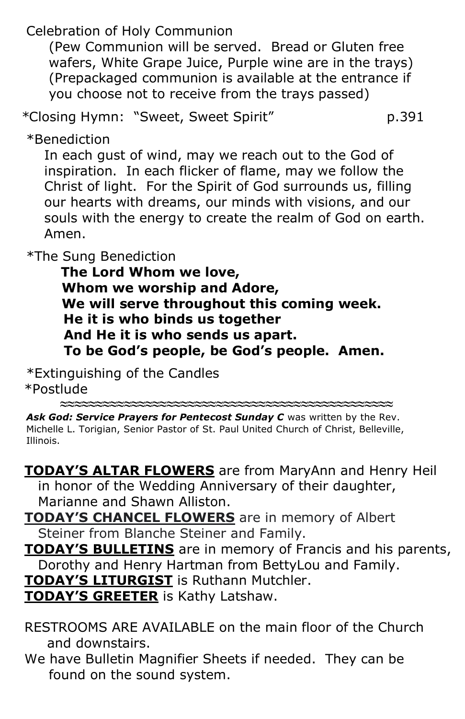Celebration of Holy Communion

 (Pew Communion will be served. Bread or Gluten free wafers, White Grape Juice, Purple wine are in the trays) (Prepackaged communion is available at the entrance if you choose not to receive from the trays passed)

*\**Closing Hymn: "Sweet, Sweet Spirit" p.391

\*Benediction

 In each gust of wind, may we reach out to the God of inspiration. In each flicker of flame, may we follow the Christ of light. For the Spirit of God surrounds us, filling our hearts with dreams, our minds with visions, and our souls with the energy to create the realm of God on earth. Amen.

\*The Sung Benediction

**The Lord Whom we love, Whom we worship and Adore, We will serve throughout this coming week. He it is who binds us together And He it is who sends us apart. To be God's people, be God's people. Amen.**

\*Extinguishing of the Candles \*Postlude

Ask God: Service Prayers for Pentecost Sunday C was written by the Rev. Michelle L. Torigian, Senior Pastor of St. Paul United Church of Christ, Belleville, Illinois.

**≈≈≈≈≈≈≈≈≈≈≈≈≈≈≈≈≈≈≈≈≈≈≈≈≈≈≈≈≈≈≈≈≈≈≈≈≈≈≈≈≈≈≈≈≈≈≈**

 **TODAY'S ALTAR FLOWERS** are from MaryAnn and Henry Heil in honor of the Wedding Anniversary of their daughter, Marianne and Shawn Alliston.

 **TODAY'S CHANCEL FLOWERS** are in memory of Albert Steiner from Blanche Steiner and Family.

 **TODAY'S BULLETINS** are in memory of Francis and his parents, Dorothy and Henry Hartman from BettyLou and Family. **TODAY'S LITURGIST** is Ruthann Mutchler.

**TODAY'S GREETER** is Kathy Latshaw.

 RESTROOMS ARE AVAILABLE on the main floor of the Church and downstairs.

 We have Bulletin Magnifier Sheets if needed. They can be found on the sound system.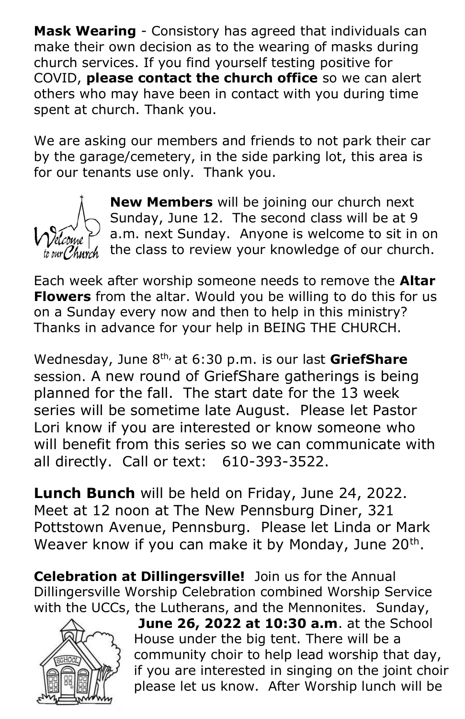**Mask Wearing** - Consistory has agreed that individuals can make their own decision as to the wearing of masks during church services. If you find yourself testing positive for COVID, **please contact the church office** so we can alert others who may have been in contact with you during time spent at church. Thank you.

We are asking our members and friends to not park their car by the garage/cemetery, in the side parking lot, this area is for our tenants use only. Thank you.



**New Members** will be joining our church next Sunday, June 12. The second class will be at 9 a.m. next Sunday. Anyone is welcome to sit in on the class to review your knowledge of our church.

Each week after worship someone needs to remove the **Altar Flowers** from the altar. Would you be willing to do this for us on a Sunday every now and then to help in this ministry? Thanks in advance for your help in BEING THE CHURCH.

Wednesday, June 8th, at 6:30 p.m. is our last **GriefShare**  session. A new round of GriefShare gatherings is being planned for the fall. The start date for the 13 week series will be sometime late August. Please let Pastor Lori know if you are interested or know someone who will benefit from this series so we can communicate with all directly. Call or text: 610-393-3522.

**Lunch Bunch** will be held on Friday, June 24, 2022. Meet at 12 noon at The New Pennsburg Diner, 321 Pottstown Avenue, Pennsburg. Please let Linda or Mark Weaver know if you can make it by Monday, June 20<sup>th</sup>.

**Celebration at Dillingersville!** Join us for the Annual Dillingersville Worship Celebration combined Worship Service with the UCCs, the Lutherans, and the Mennonites. Sunday,



**June 26, 2022 at 10:30 a.m**. at the School House under the big tent. There will be a community choir to help lead worship that day, if you are interested in singing on the joint choir please let us know. After Worship lunch will be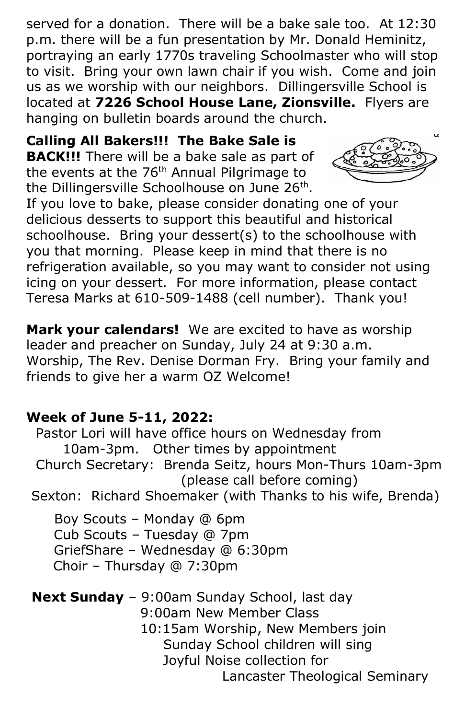served for a donation. There will be a bake sale too. At 12:30 p.m. there will be a fun presentation by Mr. Donald Heminitz, portraying an early 1770s traveling Schoolmaster who will stop to visit. Bring your own lawn chair if you wish. Come and join us as we worship with our neighbors. Dillingersville School is located at **7226 School House Lane, Zionsville.** Flyers are hanging on bulletin boards around the church.

**Calling All Bakers!!! The Bake Sale is BACK!!!** There will be a bake sale as part of the events at the 76<sup>th</sup> Annual Pilgrimage to the Dillingersville Schoolhouse on June 26<sup>th</sup>.



If you love to bake, please consider donating one of your delicious desserts to support this beautiful and historical schoolhouse. Bring your dessert(s) to the schoolhouse with you that morning. Please keep in mind that there is no refrigeration available, so you may want to consider not using icing on your dessert. For more information, please contact Teresa Marks at 610-509-1488 (cell number). Thank you!

**Mark your calendars!** We are excited to have as worship leader and preacher on Sunday, July 24 at 9:30 a.m. Worship, The Rev. Denise Dorman Fry. Bring your family and friends to give her a warm OZ Welcome!

#### **Week of June 5-11, 2022:**

Pastor Lori will have office hours on Wednesday from 10am-3pm. Other times by appointment Church Secretary: Brenda Seitz, hours Mon-Thurs 10am-3pm (please call before coming) Sexton: Richard Shoemaker (with Thanks to his wife, Brenda) Boy Scouts – Monday @ 6pm Cub Scouts – Tuesday @ 7pm GriefShare – Wednesday @ 6:30pm Choir – Thursday @ 7:30pm **Next Sunday** – 9:00am Sunday School, last day 9:00am New Member Class 10:15am Worship, New Members join Sunday School children will sing Joyful Noise collection for Lancaster Theological Seminary